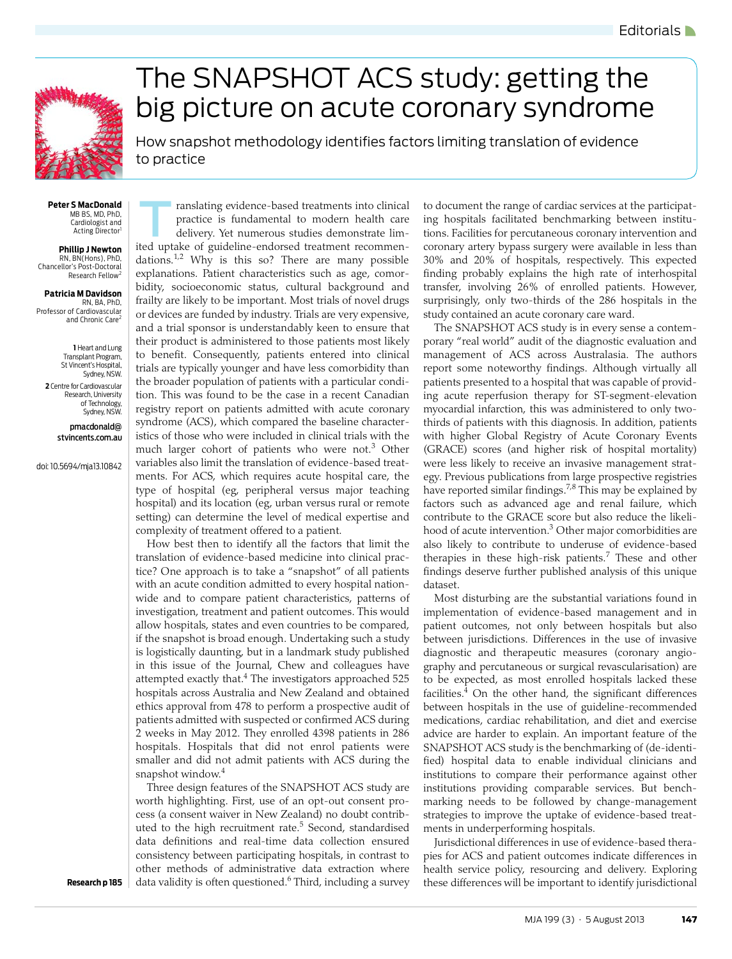

## <span id="page-0-0"></span>The SNAPSHOT ACS study: getting the big picture on acute coronary syndrome

How snapshot methodology identifies factors limiting translation of evidence to practice

**Peter S MacDonald** MB BS, MD, PhD, Cardiologist and Acting Director<sup>1</sup>

**Phillip J Newton** RN, BN(Hons), PhD, Chancellor's Post-Doctoral Research Fellow<sup>2</sup>

**Patricia M Davidson** RN, BA, PhD, Professor of Cardiovascular and Chronic Care<sup>2</sup>

**1** Heart and Lung Transplant Program, St Vincent's Hospital, Sydney, NSW. **2** Centre for Cardiovascular Research, University of Technology, Sydney, NSW.

> pmacdonald@ stvincents.com.au

doi: 10.5694/mja13.10842

ranslating evidence-based treatments into clinical practice is fundamental to modern health care delivery. Yet numerous studies demonstrate limited uptake of guideline-endorsed treatment recommendations.[1](#page-1-0)[,2](#page-1-1) Why is this so? There are many possible explanations. Patient characteristics such as age, comorbidity, socioeconomic status, cultural background and frailty are likely to be important. Most trials of novel drugs or devices are funded by industry. Trials are very expensive, and a trial sponsor is understandably keen to ensure that their product is administered to those patients most likely to benefit. Consequently, patients entered into clinical trials are typically younger and have less comorbidity than the broader population of patients with a particular condition. This was found to be the case in a recent Canadian registry report on patients admitted with acute coronary syndrome (ACS), which compared the baseline characteristics of those who were included in clinical trials with the much larger cohort of patients who were not.<sup>[3](#page-1-2)</sup> Other variables also limit the translation of evidence-based treatments. For ACS, which requires acute hospital care, the type of hospital (eg, peripheral versus major teaching hospital) and its location (eg, urban versus rural or remote setting) can determine the level of medical expertise and complexity of treatment offered to a patient.

hospitals. Hospitals that did not enrol patients were  $\frac{1}{2}$  smaller and did not [adm](#page-1-8)it patients with ACS during the  $\sum_{i=1}^{\infty}$  Snapshot Window. How best then to identify all the factors that limit the translation of evidence-based medicine into clinical practice? One approach is to take a "snapshot" of all patients with an acute condition admitted to every hospital nationwide and to compare patient characteristics, patterns of investigation, treatment and patient outcomes. This would allow hospitals, states and even countries to be compared, if the snapshot is broad enough. Undertaking such a study is logistically daunting, but in a landmark study published in this issue of the Journal, Chew and colleagues have attempted exactly that.<sup>4</sup> The investigators approached 525 hospitals across Australia and New Zealand and obtained ethics approval from 478 to perform a prospective audit of patients admitted with suspected or confirmed ACS during 2 weeks in May 2012. They enrolled 4398 patients in 286 snapshot window.<sup>[4](#page-1-3)</sup>

Three design features of the SNAPSHOT ACS study are worth highlighting. First, use of an opt-out consent process (a consent waiver in New Zealand) no doubt contrib-uted to the high recruitment rate.<sup>[5](#page-1-4)</sup> Second, standardised data definitions and real-time data collection ensured consistency between participating hospitals, in contrast to other methods of administrative data extraction where data validity is often questioned.<sup>[6](#page-1-5)</sup> Third, including a survey to document the range of cardiac services at the participating hospitals facilitated benchmarking between institutions. Facilities for percutaneous coronary intervention and coronary artery bypass surgery were available in less than 30% and 20% of hospitals, respectively. This expected finding probably explains the high rate of interhospital transfer, involving 26% of enrolled patients. However, surprisingly, only two-thirds of the 286 hospitals in the study contained an acute coronary care ward.

The SNAPSHOT ACS study is in every sense a contemporary "real world" audit of the diagnostic evaluation and management of ACS across Australasia. The authors report some noteworthy findings. Although virtually all patients presented to a hospital that was capable of providing acute reperfusion therapy for ST-segment-elevation myocardial infarction, this was administered to only twothirds of patients with this diagnosis. In addition, patients with higher Global Registry of Acute Coronary Events (GRACE) scores (and higher risk of hospital mortality) were less likely to receive an invasive management strategy. Previous publications from large prospective registries have reported similar findings.<sup>[7,](#page-1-6)[8](#page-1-7)</sup> This may be explained by factors such as advanced age and renal failure, which contribute to the GRACE score but also reduce the likeli-hood of acute intervention.<sup>[3](#page-1-2)</sup> Other major comorbidities are also likely to contribute to underuse of evidence-based therapies in these high-risk patients.<sup>[7](#page-1-6)</sup> These and other findings deserve further published analysis of this unique dataset.

Most disturbing are the substantial variations found in implementation of evidence-based management and in patient outcomes, not only between hospitals but also between jurisdictions. Differences in the use of invasive diagnostic and therapeutic measures (coronary angiography and percutaneous or surgical revascularisation) are to be expected, as most enrolled hospitals lacked these facilities. $4$  On the other hand, the significant differences between hospitals in the use of guideline-recommended medications, cardiac rehabilitation, and diet and exercise advice are harder to explain. An important feature of the SNAPSHOT ACS study is the benchmarking of (de-identified) hospital data to enable individual clinicians and institutions to compare their performance against other institutions providing comparable services. But benchmarking needs to be followed by change-management strategies to improve the uptake of evidence-based treatments in underperforming hospitals.

Jurisdictional differences in use of evidence-based therapies for ACS and patient outcomes indicate differences in health service policy, resourcing and delivery. Exploring these differences will be important to identify jurisdictional